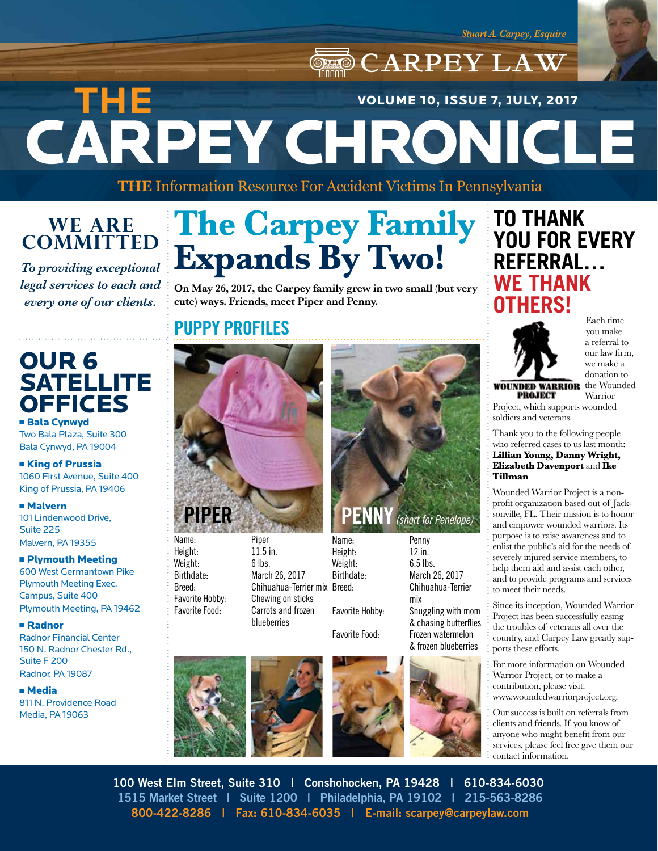## CARPEY LAW CARPEY CHRONICLE **THE**  VOLUME 10, ISSUE 7, JULY, 2017

**THE** Information Resource For Accident Victims In Pennsylvania

### **WE ARE COMMITTED**

*To providing exceptional legal services to each and every one of our clients.*

### OUR 6 **SATELLITE OFFICES**

**Bala Cynwyd** Two Bala Plaza, Suite 300 Bala Cynwyd, PA 19004

**Example 1 King of Prussia** 1060 First Avenue, Suite 400 King of Prussia, PA 19406

<sup>n</sup> Malvern 101 Lindenwood Drive, Suite 225 Malvern, PA 19355

#### **n** Plymouth Meeting 600 West Germantown Pike Plymouth Meeting Exec.

Campus, Suite 400 Plymouth Meeting, PA 19462

#### <sup>n</sup> Radnor

Radnor Financial Center 150 N. Radnor Chester Rd., Suite F 200 Radnor, PA 19087

**n** Media 811 N. Providence Road Media, PA 19063

# **The Carpey Family Expands By Two!**

**On May 26, 2017, the Carpey family grew in two small (but very cute) ways. Friends, meet Piper and Penny.**

### **PUPPY PROFILES**



Name: Piper Height: 11.5 in. Weight: 6 lbs. Birthdate: March 26, 2017 Breed: Chihuahua-Terrier mix Favorite Hobby: Chewing on sticks Favorite Food: Carrots and frozen blueberries









**PIPER PENNY** *(short for Penelope)*



## **TO THANK YOU FOR EVERY REFERRAL… WE THANK OTHERS!**



Each time you make a referral to our law firm, we make a donation to

**WOUNDED WARRIOR** the Wounded

**PROJECT Warrior** Project, which supports wounded soldiers and veterans.

Thank you to the following people who referred cases to us last month: **Lillian Young, Danny Wright, Elizabeth Davenport** and **Ike Tillman**

Wounded Warrior Project is a nonprofit organization based out of Jacksonville, FL. Their mission is to honor and empower wounded warriors. Its purpose is to raise awareness and to enlist the public's aid for the needs of severely injured service members, to help them aid and assist each other, and to provide programs and services to meet their needs.

Since its inception, Wounded Warrior Project has been successfully easing the troubles of veterans all over the country, and Carpey Law greatly supports these efforts.

For more information on Wounded Warrior Project, or to make a contribution, please visit: www.woundedwarriorproject.org.

Our success is built on referrals from clients and friends. If you know of anyone who might benefit from our services, please feel free give them our contact information.

**100 West Elm Street, Suite 310 | Conshohocken, PA 19428 | 610-834-6030 1515 Market Street | Suite 1200 | Philadelphia, PA 19102 | 215-563-8286 800-422-8286 | Fax: 610-834-6035 | E-mail: scarpey@carpeylaw.com**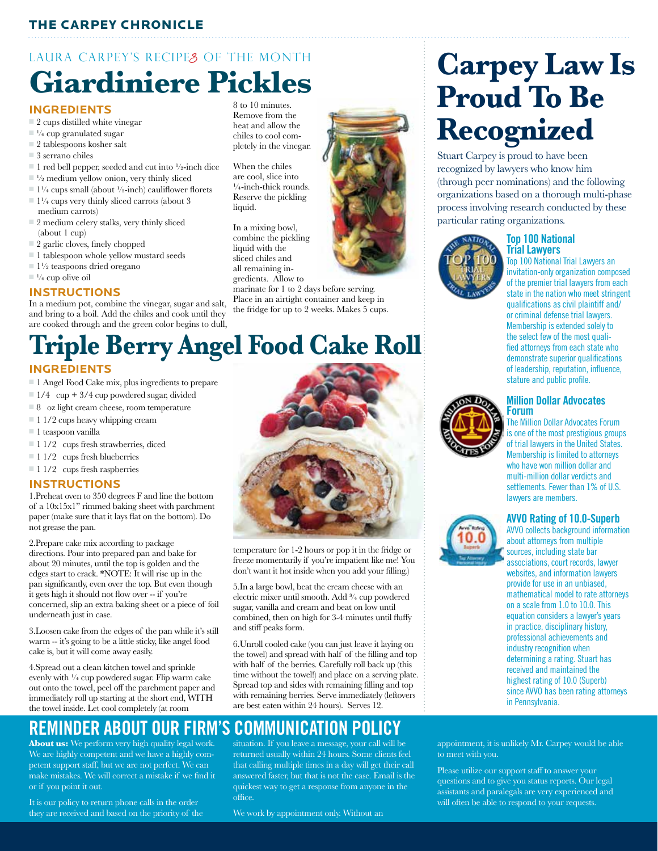#### THE CARPEY CHRONICLE

## LAURA CARPEY'S RECIPES OF THE MONTH **Giardiniere Pickles**

#### **INGREDIENTS**

- $\Box$  2 cups distilled white vinegar
- $\Box$ <sup>1</sup>/<sub>4</sub> cup granulated sugar
- $\Box$  2 tablespoons kosher salt
- $\Box$  3 serrano chiles
- $\blacksquare$  1 red bell pepper, seeded and cut into  $\frac{1}{2}$ -inch dice
- $\Box$  <sup>1</sup>/<sub>2</sub> medium yellow onion, very thinly sliced
- $\Box$  1¼ cups small (about ½-inch) cauliflower florets
- $\Box$  1¼ cups very thinly sliced carrots (about 3 medium carrots)
- $\simeq$  2 medium celery stalks, very thinly sliced (about 1 cup)
- $\Box$  2 garlic cloves, finely chopped
- $\blacksquare$  1 tablespoon whole yellow mustard seeds
- $\Box$  1<sup>1</sup>/<sub>2</sub> teaspoons dried oregano
- $\Box$ <sup>1</sup>/<sub>4</sub> cup olive oil

#### **INSTRUCTIONS**

In a medium pot, combine the vinegar, sugar and salt, and bring to a boil. Add the chiles and cook until they are cooked through and the green color begins to dull,

8 to 10 minutes. Remove from the heat and allow the chiles to cool completely in the vinegar.

When the chiles are cool, slice into  $\frac{1}{4}$ -inch-thick rounds. Reserve the pickling liquid.

In a mixing bowl, combine the pickling liquid with the sliced chiles and all remaining ingredients. Allow to

marinate for 1 to 2 days before serving. Place in an airtight container and keep in the fridge for up to 2 weeks. Makes 5 cups.

### **INGREDIENTS Triple Berry Angel Food Cake Roll**

- n 1 Angel Food Cake mix, plus ingredients to prepare
- $1/4$  cup + 3/4 cup powdered sugar, divided
- $\Box$  8 oz light cream cheese, room temperature
- $\Box$  1 1/2 cups heavy whipping cream
- $\blacksquare$  1 teaspoon vanilla
- $\Box$  1 1/2 cups fresh strawberries, diced
- $\blacksquare$  1 1/2 cups fresh blueberries
- $11/2$  cups fresh raspberries

#### **INSTRUCTIONS**

1.Preheat oven to 350 degrees F and line the bottom of a 10x15x1" rimmed baking sheet with parchment paper (make sure that it lays flat on the bottom). Do not grease the pan.

2.Prepare cake mix according to package directions. Pour into prepared pan and bake for about 20 minutes, until the top is golden and the edges start to crack. \*NOTE: It will rise up in the pan significantly, even over the top. But even though it gets high it should not flow over -- if you're concerned, slip an extra baking sheet or a piece of foil underneath just in case.

3.Loosen cake from the edges of the pan while it's still warm -- it's going to be a little sticky, like angel food cake is, but it will come away easily.

4.Spread out a clean kitchen towel and sprinkle evenly with  $\frac{1}{4}$  cup powdered sugar. Flip warm cake out onto the towel, peel off the parchment paper and immediately roll up starting at the short end, WITH the towel inside. Let cool completely (at room



**About us:** We perform very high quality legal work. We are highly competent and we have a highly competent support staff, but we are not perfect. We can make mistakes. We will correct a mistake if we find it or if you point it out.

It is our policy to return phone calls in the order they are received and based on the priority of the

situation. If you leave a message, your call will be returned usually within 24 hours. Some clients feel that calling multiple times in a day will get their call answered faster, but that is not the case. Email is the quickest way to get a response from anyone in the office.

We work by appointment only. Without an

## **Carpey Law Is Proud To Be Recognized**

Stuart Carpey is proud to have been recognized by lawyers who know him (through peer nominations) and the following organizations based on a thorough multi-phase process involving research conducted by these particular rating organizations.



#### **Top 100 National Trial Lawyers**

Top 100 National Trial Lawyers an invitation-only organization composed of the premier trial lawyers from each state in the nation who meet stringent qualifications as civil plaintiff and/ or criminal defense trial lawyers. Membership is extended solely to the select few of the most qualified attorneys from each state who demonstrate superior qualifications of leadership, reputation, influence, stature and public profile.



#### **Million Dollar Advocates Forum**

The Million Dollar Advocates Forum is one of the most prestigious groups of trial lawyers in the United States. Membership is limited to attorneys who have won million dollar and multi-million dollar verdicts and settlements. Fewer than 1% of U.S. lawyers are members.

#### **AVVO Rating of 10.0-Superb**

AVVO collects background information about attorneys from multiple sources, including state bar associations, court records, lawyer websites, and information lawyers provide for use in an unbiased, mathematical model to rate attorneys on a scale from 1.0 to 10.0. This equation considers a lawyer's years in practice, disciplinary history, professional achievements and industry recognition when determining a rating. Stuart has received and maintained the highest rating of 10.0 (Superb) since AVVO has been rating attorneys in Pennsylvania.

appointment, it is unlikely Mr. Carpey would be able to meet with you.

Please utilize our support staff to answer your questions and to give you status reports. Our legal assistants and paralegals are very experienced and will often be able to respond to your requests.



temperature for 1-2 hours or pop it in the fridge or freeze momentarily if you're impatient like me! You don't want it hot inside when you add your filling.)

5.In a large bowl, beat the cream cheese with an electric mixer until smooth. Add ¾ cup powdered sugar, vanilla and cream and beat on low until combined, then on high for 3-4 minutes until fluffy and stiff peaks form.

6.Unroll cooled cake (you can just leave it laying on the towel) and spread with half of the filling and top with half of the berries. Carefully roll back up (this time without the towel!) and place on a serving plate. Spread top and sides with remaining filling and top with remaining berries. Serve immediately (leftovers are best eaten within 24 hours). Serves 12.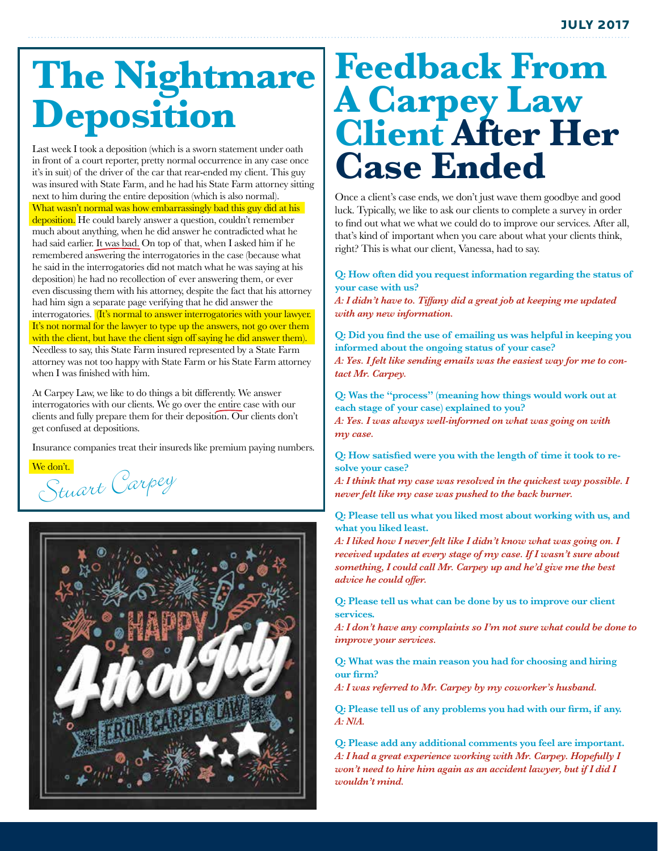# **The Nightmare Deposition**

Last week I took a deposition (which is a sworn statement under oath in front of a court reporter, pretty normal occurrence in any case once it's in suit) of the driver of the car that rear-ended my client. This guy was insured with State Farm, and he had his State Farm attorney sitting next to him during the entire deposition (which is also normal). What wasn't normal was how embarrassingly bad this guy did at his deposition. He could barely answer a question, couldn't remember much about anything, when he did answer he contradicted what he had said earlier. It was bad. On top of that, when I asked him if he remembered answering the interrogatories in the case (because what he said in the interrogatories did not match what he was saying at his deposition) he had no recollection of ever answering them, or ever even discussing them with his attorney, despite the fact that his attorney had him sign a separate page verifying that he did answer the interrogatories. *(It's normal to answer interrogatories with your lawyer.* It's not normal for the lawyer to type up the answers, not go over them with the client, but have the client sign off saying he did answer them). Needless to say, this State Farm insured represented by a State Farm attorney was not too happy with State Farm or his State Farm attorney when I was finished with him.

At Carpey Law, we like to do things a bit differently. We answer interrogatories with our clients. We go over the entire case with our clients and fully prepare them for their deposition. Our clients don't get confused at depositions.

Insurance companies treat their insureds like premium paying numbers.

We don't.<br>Stuart Carpey



## **Feedback From A Carpey Law Client After Her Case Ended**

Once a client's case ends, we don't just wave them goodbye and good luck. Typically, we like to ask our clients to complete a survey in order to find out what we what we could do to improve our services. After all, that's kind of important when you care about what your clients think, right? This is what our client, Vanessa, had to say.

#### **Q: How often did you request information regarding the status of your case with us?**

*A: I didn't have to. Tiffany did a great job at keeping me updated with any new information.*

**Q: Did you find the use of emailing us was helpful in keeping you informed about the ongoing status of your case?** *A: Yes. I felt like sending emails was the easiest way for me to contact Mr. Carpey.*

**Q: Was the "process" (meaning how things would work out at each stage of your case) explained to you?**

*A: Yes. I was always well-informed on what was going on with my case.*

**Q: How satisfied were you with the length of time it took to resolve your case?**

*A: I think that my case was resolved in the quickest way possible. I never felt like my case was pushed to the back burner.*

**Q: Please tell us what you liked most about working with us, and what you liked least.**

*A: I liked how I never felt like I didn't know what was going on. I received updates at every stage of my case. If I wasn't sure about something, I could call Mr. Carpey up and he'd give me the best advice he could offer.*

**Q: Please tell us what can be done by us to improve our client services.**

*A: I don't have any complaints so I'm not sure what could be done to improve your services.*

**Q: What was the main reason you had for choosing and hiring our firm?**

*A: I was referred to Mr. Carpey by my coworker's husband.*

**Q: Please tell us of any problems you had with our firm, if any.** *A: N/A.*

**Q: Please add any additional comments you feel are important.** *A: I had a great experience working with Mr. Carpey. Hopefully I won't need to hire him again as an accident lawyer, but if I did I wouldn't mind.*